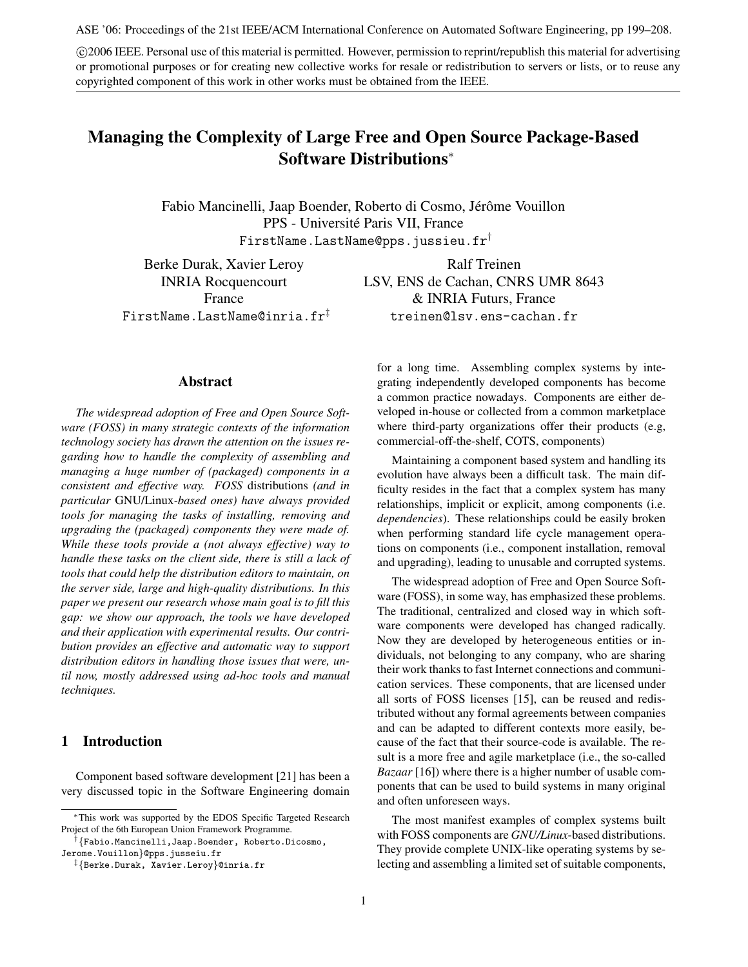ASE '06: Proceedings of the 21st IEEE/ACM International Conference on Automated Software Engineering, pp 199–208.

 c 2006 IEEE. Personal use of this material is permitted. However, permission to reprint/republish this material for advertising or promotional purposes or for creating new collective works for resale or redistribution to servers or lists, or to reuse any copyrighted component of this work in other works must be obtained from the IEEE.

# Managing the Complexity of Large Free and Open Source Package-Based Software Distributions<sup>∗</sup>

Fabio Mancinelli, Jaap Boender, Roberto di Cosmo, Jérôme Vouillon PPS - Université Paris VII, France FirstName.LastName@pps.jussieu.fr†

Berke Durak, Xavier Leroy INRIA Rocquencourt France FirstName.LastName@inria.fr‡

Ralf Treinen LSV, ENS de Cachan, CNRS UMR 8643 & INRIA Futurs, France treinen@lsv.ens-cachan.fr

### Abstract

*The widespread adoption of Free and Open Source Software (FOSS) in many strategic contexts of the information technology society has drawn the attention on the issues regarding how to handle the complexity of assembling and managing a huge number of (packaged) components in a consistent and effective way. FOSS* distributions *(and in particular* GNU/Linux*-based ones) have always provided tools for managing the tasks of installing, removing and upgrading the (packaged) components they were made of. While these tools provide a (not always effective) way to handle these tasks on the client side, there is still a lack of tools that could help the distribution editors to maintain, on the server side, large and high-quality distributions. In this paper we present our research whose main goal is to fill this gap: we show our approach, the tools we have developed and their application with experimental results. Our contribution provides an effective and automatic way to support distribution editors in handling those issues that were, until now, mostly addressed using ad-hoc tools and manual techniques.*

## 1 Introduction

Component based software development [21] has been a very discussed topic in the Software Engineering domain for a long time. Assembling complex systems by integrating independently developed components has become a common practice nowadays. Components are either developed in-house or collected from a common marketplace where third-party organizations offer their products (e.g, commercial-off-the-shelf, COTS, components)

Maintaining a component based system and handling its evolution have always been a difficult task. The main difficulty resides in the fact that a complex system has many relationships, implicit or explicit, among components (i.e. *dependencies*). These relationships could be easily broken when performing standard life cycle management operations on components (i.e., component installation, removal and upgrading), leading to unusable and corrupted systems.

The widespread adoption of Free and Open Source Software (FOSS), in some way, has emphasized these problems. The traditional, centralized and closed way in which software components were developed has changed radically. Now they are developed by heterogeneous entities or individuals, not belonging to any company, who are sharing their work thanks to fast Internet connections and communication services. These components, that are licensed under all sorts of FOSS licenses [15], can be reused and redistributed without any formal agreements between companies and can be adapted to different contexts more easily, because of the fact that their source-code is available. The result is a more free and agile marketplace (i.e., the so-called *Bazaar* [16]) where there is a higher number of usable components that can be used to build systems in many original and often unforeseen ways.

The most manifest examples of complex systems built with FOSS components are *GNU/Linux*-based distributions. They provide complete UNIX-like operating systems by selecting and assembling a limited set of suitable components,

<sup>∗</sup>This work was supported by the EDOS Specific Targeted Research Project of the 6th European Union Framework Programme.

<sup>†</sup>{Fabio.Mancinelli,Jaap.Boender, Roberto.Dicosmo, Jerome.Vouillon}@pps.jusseiu.fr

<sup>‡</sup>{Berke.Durak, Xavier.Leroy}@inria.fr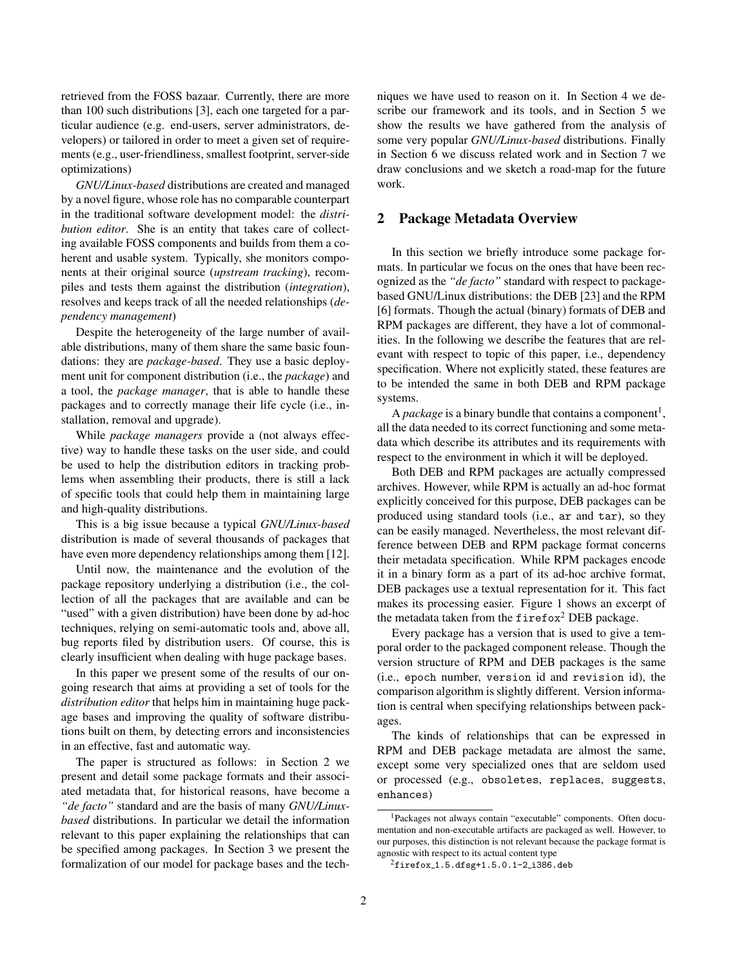retrieved from the FOSS bazaar. Currently, there are more than 100 such distributions [3], each one targeted for a particular audience (e.g. end-users, server administrators, developers) or tailored in order to meet a given set of requirements (e.g., user-friendliness, smallest footprint, server-side optimizations)

*GNU/Linux-based* distributions are created and managed by a novel figure, whose role has no comparable counterpart in the traditional software development model: the *distribution editor*. She is an entity that takes care of collecting available FOSS components and builds from them a coherent and usable system. Typically, she monitors components at their original source (*upstream tracking*), recompiles and tests them against the distribution (*integration*), resolves and keeps track of all the needed relationships (*dependency management*)

Despite the heterogeneity of the large number of available distributions, many of them share the same basic foundations: they are *package-based*. They use a basic deployment unit for component distribution (i.e., the *package*) and a tool, the *package manager*, that is able to handle these packages and to correctly manage their life cycle (i.e., installation, removal and upgrade).

While *package managers* provide a (not always effective) way to handle these tasks on the user side, and could be used to help the distribution editors in tracking problems when assembling their products, there is still a lack of specific tools that could help them in maintaining large and high-quality distributions.

This is a big issue because a typical *GNU/Linux-based* distribution is made of several thousands of packages that have even more dependency relationships among them [12].

Until now, the maintenance and the evolution of the package repository underlying a distribution (i.e., the collection of all the packages that are available and can be "used" with a given distribution) have been done by ad-hoc techniques, relying on semi-automatic tools and, above all, bug reports filed by distribution users. Of course, this is clearly insufficient when dealing with huge package bases.

In this paper we present some of the results of our ongoing research that aims at providing a set of tools for the *distribution editor* that helps him in maintaining huge package bases and improving the quality of software distributions built on them, by detecting errors and inconsistencies in an effective, fast and automatic way.

The paper is structured as follows: in Section 2 we present and detail some package formats and their associated metadata that, for historical reasons, have become a *"de facto"* standard and are the basis of many *GNU/Linuxbased* distributions. In particular we detail the information relevant to this paper explaining the relationships that can be specified among packages. In Section 3 we present the formalization of our model for package bases and the techniques we have used to reason on it. In Section 4 we describe our framework and its tools, and in Section 5 we show the results we have gathered from the analysis of some very popular *GNU/Linux-based* distributions. Finally in Section 6 we discuss related work and in Section 7 we draw conclusions and we sketch a road-map for the future work.

#### 2 Package Metadata Overview

In this section we briefly introduce some package formats. In particular we focus on the ones that have been recognized as the *"de facto"* standard with respect to packagebased GNU/Linux distributions: the DEB [23] and the RPM [6] formats. Though the actual (binary) formats of DEB and RPM packages are different, they have a lot of commonalities. In the following we describe the features that are relevant with respect to topic of this paper, i.e., dependency specification. Where not explicitly stated, these features are to be intended the same in both DEB and RPM package systems.

A *package* is a binary bundle that contains a component<sup>1</sup>, all the data needed to its correct functioning and some metadata which describe its attributes and its requirements with respect to the environment in which it will be deployed.

Both DEB and RPM packages are actually compressed archives. However, while RPM is actually an ad-hoc format explicitly conceived for this purpose, DEB packages can be produced using standard tools (i.e., ar and tar), so they can be easily managed. Nevertheless, the most relevant difference between DEB and RPM package format concerns their metadata specification. While RPM packages encode it in a binary form as a part of its ad-hoc archive format, DEB packages use a textual representation for it. This fact makes its processing easier. Figure 1 shows an excerpt of the metadata taken from the  $firefox<sup>2</sup> DEB package.$ 

Every package has a version that is used to give a temporal order to the packaged component release. Though the version structure of RPM and DEB packages is the same (i.e., epoch number, version id and revision id), the comparison algorithm is slightly different. Version information is central when specifying relationships between packages.

The kinds of relationships that can be expressed in RPM and DEB package metadata are almost the same, except some very specialized ones that are seldom used or processed (e.g., obsoletes, replaces, suggests, enhances)

<sup>1</sup>Packages not always contain "executable" components. Often documentation and non-executable artifacts are packaged as well. However, to our purposes, this distinction is not relevant because the package format is agnostic with respect to its actual content type

 $2$ firefox<sub>-1</sub>.5.dfsg+1.5.0.1-2<sub>-</sub>i386.deb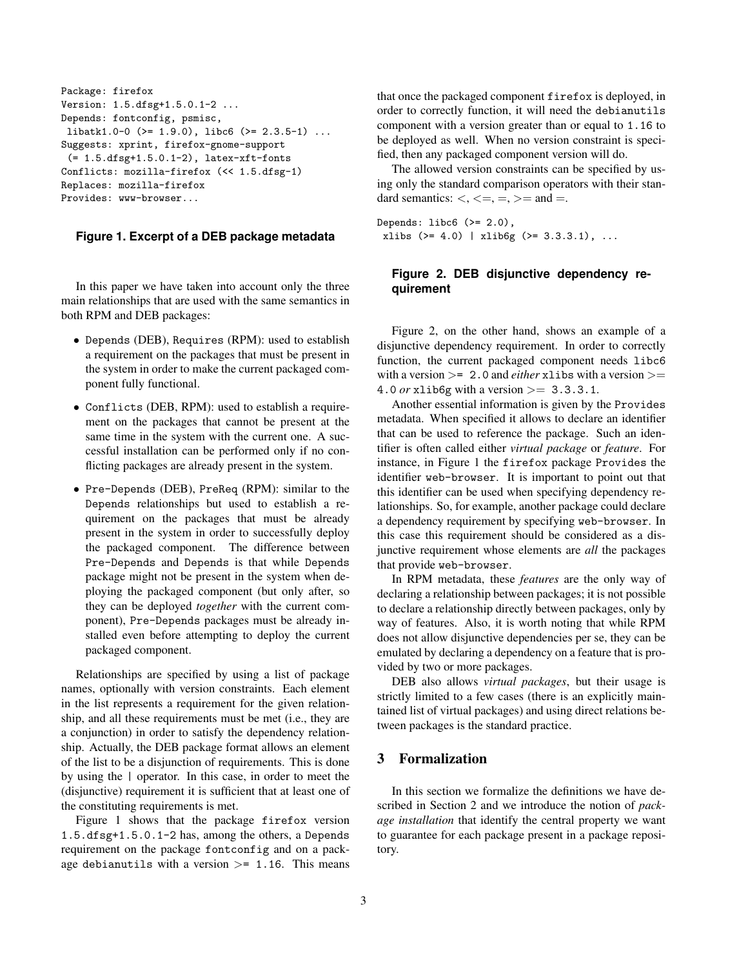```
Package: firefox
Version: 1.5.dfsg+1.5.0.1-2 ...
Depends: fontconfig, psmisc,
 libatk1.0-0 (>= 1.9.0), libc6 (>= 2.3.5-1) ...
Suggests: xprint, firefox-gnome-support
 (= 1.5.dfsg+1.5.0.1-2), latex-xft-fonts
Conflicts: mozilla-firefox (<< 1.5.dfsg-1)
Replaces: mozilla-firefox
Provides: www-browser...
```
#### **Figure 1. Excerpt of a DEB package metadata**

In this paper we have taken into account only the three main relationships that are used with the same semantics in both RPM and DEB packages:

- Depends (DEB), Requires (RPM): used to establish a requirement on the packages that must be present in the system in order to make the current packaged component fully functional.
- Conflicts (DEB, RPM): used to establish a requirement on the packages that cannot be present at the same time in the system with the current one. A successful installation can be performed only if no conflicting packages are already present in the system.
- Pre-Depends (DEB), PreReq (RPM): similar to the Depends relationships but used to establish a requirement on the packages that must be already present in the system in order to successfully deploy the packaged component. The difference between Pre-Depends and Depends is that while Depends package might not be present in the system when deploying the packaged component (but only after, so they can be deployed *together* with the current component), Pre-Depends packages must be already installed even before attempting to deploy the current packaged component.

Relationships are specified by using a list of package names, optionally with version constraints. Each element in the list represents a requirement for the given relationship, and all these requirements must be met (i.e., they are a conjunction) in order to satisfy the dependency relationship. Actually, the DEB package format allows an element of the list to be a disjunction of requirements. This is done by using the | operator. In this case, in order to meet the (disjunctive) requirement it is sufficient that at least one of the constituting requirements is met.

Figure 1 shows that the package firefox version 1.5.dfsg+1.5.0.1-2 has, among the others, a Depends requirement on the package fontconfig and on a package debianutils with a version  $> = 1.16$ . This means that once the packaged component firefox is deployed, in order to correctly function, it will need the debianutils component with a version greater than or equal to 1.16 to be deployed as well. When no version constraint is specified, then any packaged component version will do.

The allowed version constraints can be specified by using only the standard comparison operators with their standard semantics:  $\lt$ ,  $\lt$  =,  $\gt$ ,  $\gt$  = and =.

Depends:  $libc6 (>= 2.0)$ , xlibs  $(>= 4.0)$  | xlib6g  $(>= 3.3.3.1)$ , ...

## **Figure 2. DEB disjunctive dependency requirement**

Figure 2, on the other hand, shows an example of a disjunctive dependency requirement. In order to correctly function, the current packaged component needs libc6 with a version >= 2.0 and *either* xlibs with a version >= 4.0 *or* xlib6g with a version >= 3.3.3.1.

Another essential information is given by the Provides metadata. When specified it allows to declare an identifier that can be used to reference the package. Such an identifier is often called either *virtual package* or *feature*. For instance, in Figure 1 the firefox package Provides the identifier web-browser. It is important to point out that this identifier can be used when specifying dependency relationships. So, for example, another package could declare a dependency requirement by specifying web-browser. In this case this requirement should be considered as a disjunctive requirement whose elements are *all* the packages that provide web-browser.

In RPM metadata, these *features* are the only way of declaring a relationship between packages; it is not possible to declare a relationship directly between packages, only by way of features. Also, it is worth noting that while RPM does not allow disjunctive dependencies per se, they can be emulated by declaring a dependency on a feature that is provided by two or more packages.

DEB also allows *virtual packages*, but their usage is strictly limited to a few cases (there is an explicitly maintained list of virtual packages) and using direct relations between packages is the standard practice.

## 3 Formalization

In this section we formalize the definitions we have described in Section 2 and we introduce the notion of *package installation* that identify the central property we want to guarantee for each package present in a package repository.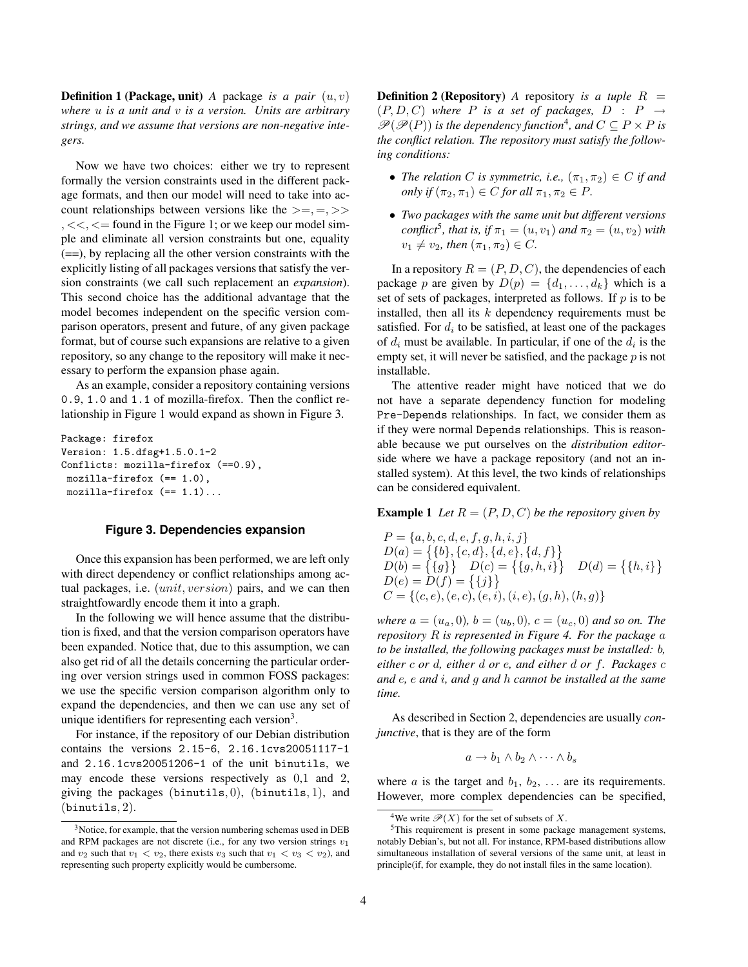Definition 1 (Package, unit) *A* package *is a pair* (u, v) *where* u *is a unit and* v *is a version. Units are arbitrary strings, and we assume that versions are non-negative integers.*

Now we have two choices: either we try to represent formally the version constraints used in the different package formats, and then our model will need to take into account relationships between versions like the  $\geq =, =, \geq \geq$  $, \ll \ll, \ll$  found in the Figure 1; or we keep our model simple and eliminate all version constraints but one, equality (==), by replacing all the other version constraints with the explicitly listing of all packages versions that satisfy the version constraints (we call such replacement an *expansion*). This second choice has the additional advantage that the model becomes independent on the specific version comparison operators, present and future, of any given package format, but of course such expansions are relative to a given repository, so any change to the repository will make it necessary to perform the expansion phase again.

As an example, consider a repository containing versions 0.9, 1.0 and 1.1 of mozilla-firefox. Then the conflict relationship in Figure 1 would expand as shown in Figure 3.

```
Package: firefox
Version: 1.5.dfsg+1.5.0.1-2
Conflicts: mozilla-firefox (==0.9),
 mozilla-firefox (== 1.0),
 {{\tt mozilla-firefox}} (=1.1)...
```
#### **Figure 3. Dependencies expansion**

Once this expansion has been performed, we are left only with direct dependency or conflict relationships among actual packages, i.e.  $(unit,version)$  pairs, and we can then straightfowardly encode them it into a graph.

In the following we will hence assume that the distribution is fixed, and that the version comparison operators have been expanded. Notice that, due to this assumption, we can also get rid of all the details concerning the particular ordering over version strings used in common FOSS packages: we use the specific version comparison algorithm only to expand the dependencies, and then we can use any set of unique identifiers for representing each version<sup>3</sup>.

For instance, if the repository of our Debian distribution contains the versions 2.15-6, 2.16.1cvs20051117-1 and 2.16.1cvs20051206-1 of the unit binutils, we may encode these versions respectively as 0,1 and 2, giving the packages (binutils,  $0$ ), (binutils,  $1$ ), and (binutils, 2).

**Definition 2 (Repository)** A repository *is a tuple*  $R =$  $(P, D, C)$  *where P* is a set of packages,  $D : P \rightarrow$  $\mathscr{P}(\mathscr{P}(P))$  is the dependency function<sup>4</sup>, and  $C \subseteq P \times P$  is *the conflict relation. The repository must satisfy the following conditions:*

- *The relation C is symmetric, i.e.,*  $(\pi_1, \pi_2) \in C$  *if and only if*  $(\pi_2, \pi_1) \in C$  *for all*  $\pi_1, \pi_2 \in P$ *.*
- *Two packages with the same unit but different versions conflict*<sup>5</sup>*, that is, if*  $\pi_1 = (u, v_1)$  *and*  $\pi_2 = (u, v_2)$  *with*  $v_1 \neq v_2$ , then  $(\pi_1, \pi_2) \in C$ .

In a repository  $R = (P, D, C)$ , the dependencies of each package p are given by  $D(p) = \{d_1, \ldots, d_k\}$  which is a set of sets of packages, interpreted as follows. If  $p$  is to be installed, then all its  $k$  dependency requirements must be satisfied. For  $d_i$  to be satisfied, at least one of the packages of  $d_i$  must be available. In particular, if one of the  $d_i$  is the empty set, it will never be satisfied, and the package  $p$  is not installable.

The attentive reader might have noticed that we do not have a separate dependency function for modeling Pre-Depends relationships. In fact, we consider them as if they were normal Depends relationships. This is reasonable because we put ourselves on the *distribution editor*side where we have a package repository (and not an installed system). At this level, the two kinds of relationships can be considered equivalent.

**Example 1** *Let*  $R = (P, D, C)$  *be the repository given by* 

$$
P = \{a, b, c, d, e, f, g, h, i, j\}
$$
  
\n
$$
D(a) = \{\{b\}, \{c, d\}, \{d, e\}, \{d, f\}\}
$$
  
\n
$$
D(b) = \{\{g\}\} \quad D(c) = \{\{g, h, i\}\} \quad D(d) = \{\{h, i\}\}
$$
  
\n
$$
D(e) = D(f) = \{\{j\}\}
$$
  
\n
$$
C = \{(c, e), (e, c), (e, i), (i, e), (g, h), (h, g)\}
$$

*where*  $a = (u_a, 0)$ *,*  $b = (u_b, 0)$ *,*  $c = (u_c, 0)$  *and so on. The repository* R *is represented in Figure 4. For the package* a *to be installed, the following packages must be installed:* b*, either* c *or* d*, either* d *or* e*, and either* d *or* f*. Packages* c *and* e*,* e *and* i*, and* g *and* h *cannot be installed at the same time.*

As described in Section 2, dependencies are usually *conjunctive*, that is they are of the form

$$
a \to b_1 \wedge b_2 \wedge \cdots \wedge b_s
$$

where a is the target and  $b_1$ ,  $b_2$ , ... are its requirements. However, more complex dependencies can be specified,

<sup>3</sup>Notice, for example, that the version numbering schemas used in DEB and RPM packages are not discrete (i.e., for any two version strings  $v_1$ ) and  $v_2$  such that  $v_1 < v_2$ , there exists  $v_3$  such that  $v_1 < v_3 < v_2$ ), and representing such property explicitly would be cumbersome.

<sup>&</sup>lt;sup>4</sup>We write  $\mathcal{P}(X)$  for the set of subsets of X.

<sup>5</sup>This requirement is present in some package management systems, notably Debian's, but not all. For instance, RPM-based distributions allow simultaneous installation of several versions of the same unit, at least in principle(if, for example, they do not install files in the same location).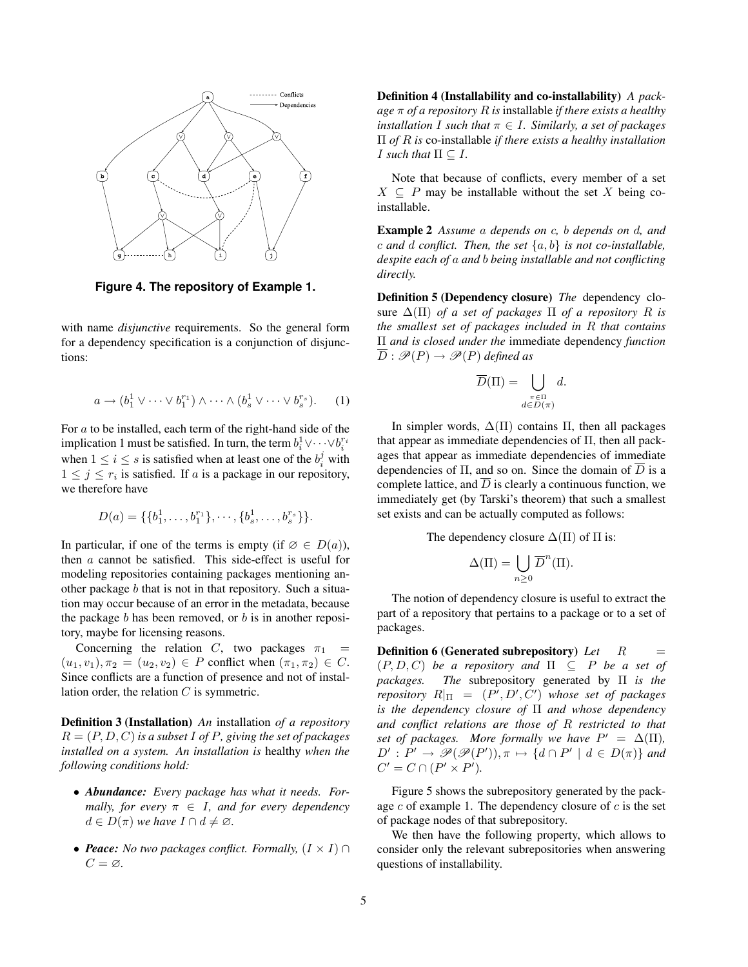

**Figure 4. The repository of Example 1.**

with name *disjunctive* requirements. So the general form for a dependency specification is a conjunction of disjunctions:

$$
a \to (b_1^1 \vee \cdots \vee b_1^{r_1}) \wedge \cdots \wedge (b_s^1 \vee \cdots \vee b_s^{r_s}).
$$
 (1)

For  $a$  to be installed, each term of the right-hand side of the implication 1 must be satisfied. In turn, the term  $b_i^1 \vee \cdots \vee b_i^{r_i}$ when  $1 \leq i \leq s$  is satisfied when at least one of the  $b_i^j$  with  $1 \leq j \leq r_i$  is satisfied. If a is a package in our repository, we therefore have

$$
D(a) = \{ \{b_1^1, \ldots, b_1^{r_1}\}, \cdots, \{b_s^1, \ldots, b_s^{r_s}\} \}.
$$

In particular, if one of the terms is empty (if  $\emptyset \in D(a)$ ), then a cannot be satisfied. This side-effect is useful for modeling repositories containing packages mentioning another package  $b$  that is not in that repository. Such a situation may occur because of an error in the metadata, because the package  $b$  has been removed, or  $b$  is in another repository, maybe for licensing reasons.

Concerning the relation C, two packages  $\pi_1$  =  $(u_1, v_1), \pi_2 = (u_2, v_2) \in P$  conflict when  $(\pi_1, \pi_2) \in C$ . Since conflicts are a function of presence and not of installation order, the relation  $C$  is symmetric.

Definition 3 (Installation) *An* installation *of a repository* R = (P, D, C) *is a subset* I *of* P*, giving the set of packages installed on a system. An installation is* healthy *when the following conditions hold:*

- *Abundance: Every package has what it needs. Formally, for every*  $\pi \in I$ *, and for every dependency*  $d \in D(\pi)$  *we have*  $I \cap d \neq \emptyset$ *.*
- *Peace: No two packages conflict. Formally,* (I × I) ∩  $C = \varnothing$ .

Definition 4 (Installability and co-installability) *A package* π *of a repository* R *is* installable *if there exists a healthy installation* I *such that*  $\pi \in I$ *. Similarly, a set of packages* Π *of* R *is* co-installable *if there exists a healthy installation I* such that  $\Pi \subset I$ .

Note that because of conflicts, every member of a set  $X \subseteq P$  may be installable without the set X being coinstallable.

Example 2 *Assume* a *depends on* c*,* b *depends on* d*, and* c *and* d *conflict. Then, the set* {a, b} *is not co-installable, despite each of* a *and* b *being installable and not conflicting directly.*

Definition 5 (Dependency closure) *The* dependency closure  $\Delta(\Pi)$  *of a set of packages*  $\Pi$  *of a repository*  $R$  *is the smallest set of packages included in* R *that contains* Π *and is closed under the* immediate dependency *function*  $\overline{D}$ :  $\mathscr{P}(P) \rightarrow \mathscr{P}(P)$  *defined as* 

$$
\overline{D}(\Pi) = \bigcup_{\substack{\pi \in \Pi \\ d \in D(\pi)}} d.
$$

In simpler words,  $\Delta(\Pi)$  contains  $\Pi$ , then all packages that appear as immediate dependencies of  $\Pi$ , then all packages that appear as immediate dependencies of immediate dependencies of  $\Pi$ , and so on. Since the domain of  $\overline{D}$  is a complete lattice, and  $\overline{D}$  is clearly a continuous function, we immediately get (by Tarski's theorem) that such a smallest set exists and can be actually computed as follows:

The dependency closure  $\Delta(\Pi)$  of  $\Pi$  is:

$$
\Delta(\Pi) = \bigcup_{n \geq 0} \overline{D}^n(\Pi).
$$

The notion of dependency closure is useful to extract the part of a repository that pertains to a package or to a set of packages.

Definition 6 (Generated subrepository) *Let* R  $(P, D, C)$  *be a repository and*  $\Pi \subseteq P$  *be a set of packages. The* subrepository generated by Π *is the repository*  $R|_{\Pi}$  =  $(P', D', C')$  *whose set of packages is the dependency closure of* Π *and whose dependency and conflict relations are those of* R *restricted to that set of packages. More formally we have*  $P' = \Delta(\Pi)$ *,*  $D' : P' \to \mathscr{P}(\mathscr{P}(P'))$ ,  $\pi \mapsto \{d \cap P' \mid d \in D(\pi)\}\$ and  $C' = C \cap (P' \times P').$ 

Figure 5 shows the subrepository generated by the package  $c$  of example 1. The dependency closure of  $c$  is the set of package nodes of that subrepository.

We then have the following property, which allows to consider only the relevant subrepositories when answering questions of installability.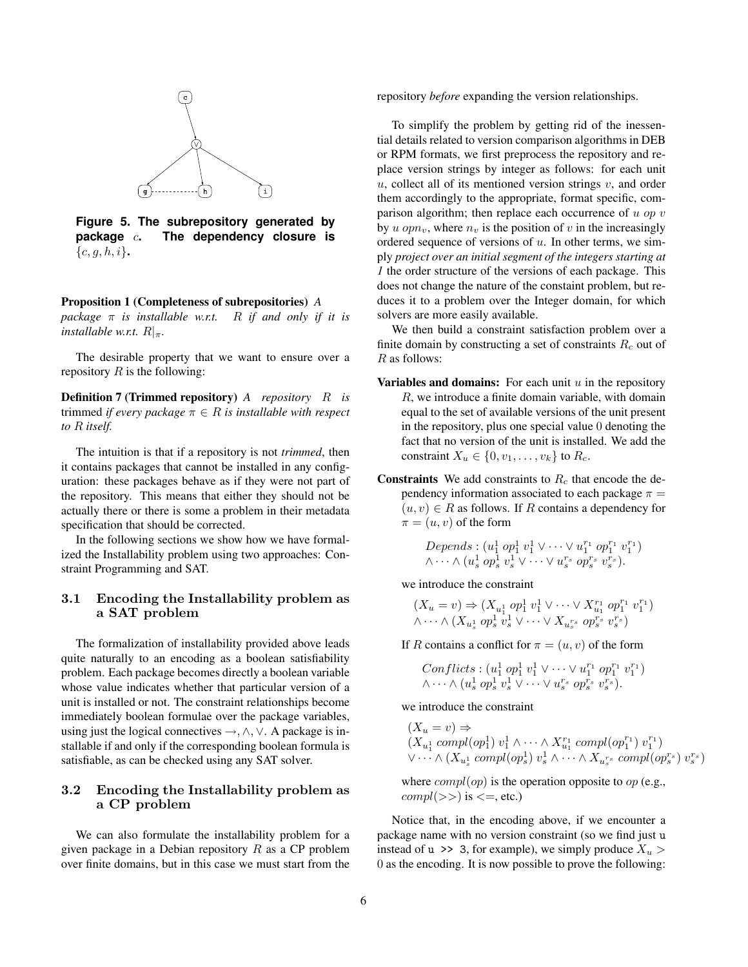

**Figure 5. The subrepository generated by package** c**. The dependency closure is**  ${c, g, h, i}.$ 

#### Proposition 1 (Completeness of subrepositories) *A*

*package* π *is installable w.r.t.* R *if and only if it is installable w.r.t.*  $R|_{\pi}$ *.* 

The desirable property that we want to ensure over a repository  $R$  is the following:

Definition 7 (Trimmed repository) *A repository* R *is* trimmed *if every package*  $\pi \in R$  *is installable with respect to* R *itself.*

The intuition is that if a repository is not *trimmed*, then it contains packages that cannot be installed in any configuration: these packages behave as if they were not part of the repository. This means that either they should not be actually there or there is some a problem in their metadata specification that should be corrected.

In the following sections we show how we have formalized the Installability problem using two approaches: Constraint Programming and SAT.

## 3.1 Encoding the Installability problem as a SAT problem

The formalization of installability provided above leads quite naturally to an encoding as a boolean satisfiability problem. Each package becomes directly a boolean variable whose value indicates whether that particular version of a unit is installed or not. The constraint relationships become immediately boolean formulae over the package variables, using just the logical connectives  $\rightarrow$ ,  $\land$ ,  $\lor$ . A package is installable if and only if the corresponding boolean formula is satisfiable, as can be checked using any SAT solver.

## 3.2 Encoding the Installability problem as a CP problem

We can also formulate the installability problem for a given package in a Debian repository  $R$  as a CP problem over finite domains, but in this case we must start from the repository *before* expanding the version relationships.

To simplify the problem by getting rid of the inessential details related to version comparison algorithms in DEB or RPM formats, we first preprocess the repository and replace version strings by integer as follows: for each unit  $u$ , collect all of its mentioned version strings  $v$ , and order them accordingly to the appropriate, format specific, comparison algorithm; then replace each occurrence of  $u$  op  $v$ by u  $opn_v$ , where  $n_v$  is the position of v in the increasingly ordered sequence of versions of  $u$ . In other terms, we simply *project over an initial segment of the integers starting at 1* the order structure of the versions of each package. This does not change the nature of the constaint problem, but reduces it to a problem over the Integer domain, for which solvers are more easily available.

We then build a constraint satisfaction problem over a finite domain by constructing a set of constraints  $R_c$  out of R as follows:

- Variables and domains: For each unit  $u$  in the repository R, we introduce a finite domain variable, with domain equal to the set of available versions of the unit present in the repository, plus one special value 0 denoting the fact that no version of the unit is installed. We add the constraint  $X_u \in \{0, v_1, \ldots, v_k\}$  to  $R_c$ .
- **Constraints** We add constraints to  $R_c$  that encode the dependency information associated to each package  $\pi$  =  $(u, v) \in R$  as follows. If R contains a dependency for  $\pi = (u, v)$  of the form

$$
Depends: (u_1^1 op_1^1 v_1^1 \vee \cdots \vee u_1^{r_1} op_1^{r_1} v_1^{r_1})
$$
  

$$
\wedge \cdots \wedge (u_s^1 op_s^1 v_s^1 \vee \cdots \vee u_s^{r_s} op_s^{r_s} v_s^{r_s}).
$$

we introduce the constraint

$$
(X_u = v) \Rightarrow (X_{u_1^1} op_1^1 v_1^1 \vee \cdots \vee X_{u_1}^{r_1} op_1^{r_1} v_1^{r_1})
$$
  

$$
\wedge \cdots \wedge (X_{u_s^1} op_s^1 v_s^1 \vee \cdots \vee X_{u_s^{r_s}} op_s^{r_s} v_s^{r_s})
$$

If R contains a conflict for  $\pi = (u, v)$  of the form

$$
Conflicts: (u_1^1 op_1^1 v_1^1 \vee \cdots \vee u_1^{r_1} op_1^{r_1} v_1^{r_1})
$$
  

$$
\wedge \cdots \wedge (u_s^1 op_s^1 v_s^1 \vee \cdots \vee u_s^{r_s} op_s^{r_s} v_s^{r_s}).
$$

we introduce the constraint

$$
(X_u = v) \Rightarrow
$$
  
\n
$$
(X_{u_1^1} \text{ compl}(op_1^1) v_1^1 \wedge \cdots \wedge X_{u_1}^{r_1} \text{ compl}(op_1^{r_1}) v_1^{r_1})
$$
  
\n
$$
\vee \cdots \wedge (X_{u_s^1} \text{ compl}(op_s^1) v_s^1 \wedge \cdots \wedge X_{u_s^r} \text{ compl}(op_s^{r_s}) v_s^{r_s})
$$

where  $compl(op)$  is the operation opposite to  $op$  (e.g.,  $compl(\gg)$  is  $\leq$ , etc.)

Notice that, in the encoding above, if we encounter a package name with no version constraint (so we find just u instead of u  $\gg$  3, for example), we simply produce  $X_u$ 0 as the encoding. It is now possible to prove the following: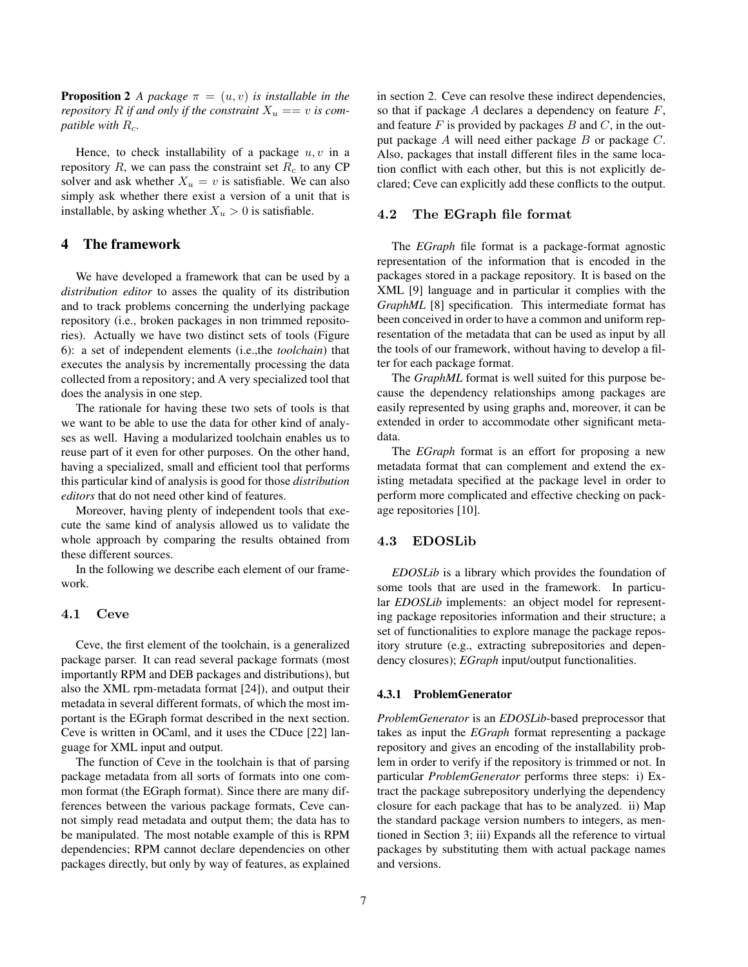**Proposition 2** *A package*  $\pi = (u, v)$  *is installable in the repository*  $R$  *if and only if the constraint*  $X_u == v$  *is compatible with*  $R_c$ *.* 

Hence, to check installability of a package  $u, v$  in a repository  $R$ , we can pass the constraint set  $R_c$  to any CP solver and ask whether  $X_u = v$  is satisfiable. We can also simply ask whether there exist a version of a unit that is installable, by asking whether  $X_u > 0$  is satisfiable.

## 4 The framework

We have developed a framework that can be used by a *distribution editor* to asses the quality of its distribution and to track problems concerning the underlying package repository (i.e., broken packages in non trimmed repositories). Actually we have two distinct sets of tools (Figure 6): a set of independent elements (i.e.,the *toolchain*) that executes the analysis by incrementally processing the data collected from a repository; and A very specialized tool that does the analysis in one step.

The rationale for having these two sets of tools is that we want to be able to use the data for other kind of analyses as well. Having a modularized toolchain enables us to reuse part of it even for other purposes. On the other hand, having a specialized, small and efficient tool that performs this particular kind of analysis is good for those *distribution editors* that do not need other kind of features.

Moreover, having plenty of independent tools that execute the same kind of analysis allowed us to validate the whole approach by comparing the results obtained from these different sources.

In the following we describe each element of our framework.

#### 4.1 Ceve

Ceve, the first element of the toolchain, is a generalized package parser. It can read several package formats (most importantly RPM and DEB packages and distributions), but also the XML rpm-metadata format [24]), and output their metadata in several different formats, of which the most important is the EGraph format described in the next section. Ceve is written in OCaml, and it uses the CDuce [22] language for XML input and output.

The function of Ceve in the toolchain is that of parsing package metadata from all sorts of formats into one common format (the EGraph format). Since there are many differences between the various package formats, Ceve cannot simply read metadata and output them; the data has to be manipulated. The most notable example of this is RPM dependencies; RPM cannot declare dependencies on other packages directly, but only by way of features, as explained in section 2. Ceve can resolve these indirect dependencies, so that if package  $A$  declares a dependency on feature  $F$ , and feature F is provided by packages B and C, in the output package  $A$  will need either package  $B$  or package  $C$ . Also, packages that install different files in the same location conflict with each other, but this is not explicitly declared; Ceve can explicitly add these conflicts to the output.

#### 4.2 The EGraph file format

The *EGraph* file format is a package-format agnostic representation of the information that is encoded in the packages stored in a package repository. It is based on the XML [9] language and in particular it complies with the *GraphML* [8] specification. This intermediate format has been conceived in order to have a common and uniform representation of the metadata that can be used as input by all the tools of our framework, without having to develop a filter for each package format.

The *GraphML* format is well suited for this purpose because the dependency relationships among packages are easily represented by using graphs and, moreover, it can be extended in order to accommodate other significant metadata.

The *EGraph* format is an effort for proposing a new metadata format that can complement and extend the existing metadata specified at the package level in order to perform more complicated and effective checking on package repositories [10].

#### 4.3 EDOSLib

*EDOSLib* is a library which provides the foundation of some tools that are used in the framework. In particular *EDOSLib* implements: an object model for representing package repositories information and their structure; a set of functionalities to explore manage the package repository struture (e.g., extracting subrepositories and dependency closures); *EGraph* input/output functionalities.

#### 4.3.1 ProblemGenerator

*ProblemGenerator* is an *EDOSLib*-based preprocessor that takes as input the *EGraph* format representing a package repository and gives an encoding of the installability problem in order to verify if the repository is trimmed or not. In particular *ProblemGenerator* performs three steps: i) Extract the package subrepository underlying the dependency closure for each package that has to be analyzed. ii) Map the standard package version numbers to integers, as mentioned in Section 3; iii) Expands all the reference to virtual packages by substituting them with actual package names and versions.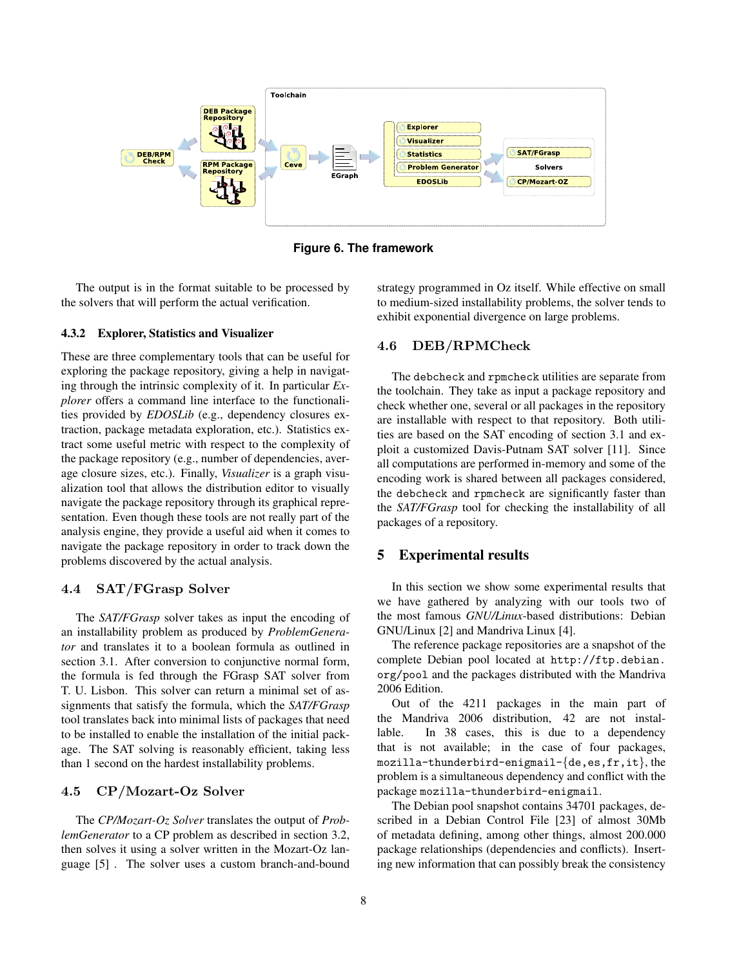

**Figure 6. The framework**

The output is in the format suitable to be processed by the solvers that will perform the actual verification.

#### 4.3.2 Explorer, Statistics and Visualizer

These are three complementary tools that can be useful for exploring the package repository, giving a help in navigating through the intrinsic complexity of it. In particular *Explorer* offers a command line interface to the functionalities provided by *EDOSLib* (e.g., dependency closures extraction, package metadata exploration, etc.). Statistics extract some useful metric with respect to the complexity of the package repository (e.g., number of dependencies, average closure sizes, etc.). Finally, *Visualizer* is a graph visualization tool that allows the distribution editor to visually navigate the package repository through its graphical representation. Even though these tools are not really part of the analysis engine, they provide a useful aid when it comes to navigate the package repository in order to track down the problems discovered by the actual analysis.

#### 4.4 SAT/FGrasp Solver

The *SAT/FGrasp* solver takes as input the encoding of an installability problem as produced by *ProblemGenerator* and translates it to a boolean formula as outlined in section 3.1. After conversion to conjunctive normal form, the formula is fed through the FGrasp SAT solver from T. U. Lisbon. This solver can return a minimal set of assignments that satisfy the formula, which the *SAT/FGrasp* tool translates back into minimal lists of packages that need to be installed to enable the installation of the initial package. The SAT solving is reasonably efficient, taking less than 1 second on the hardest installability problems.

#### 4.5 CP/Mozart-Oz Solver

The *CP/Mozart-Oz Solver* translates the output of *ProblemGenerator* to a CP problem as described in section 3.2, then solves it using a solver written in the Mozart-Oz language [5] . The solver uses a custom branch-and-bound strategy programmed in Oz itself. While effective on small to medium-sized installability problems, the solver tends to exhibit exponential divergence on large problems.

#### 4.6 DEB/RPMCheck

The debcheck and rpmcheck utilities are separate from the toolchain. They take as input a package repository and check whether one, several or all packages in the repository are installable with respect to that repository. Both utilities are based on the SAT encoding of section 3.1 and exploit a customized Davis-Putnam SAT solver [11]. Since all computations are performed in-memory and some of the encoding work is shared between all packages considered, the debcheck and rpmcheck are significantly faster than the *SAT/FGrasp* tool for checking the installability of all packages of a repository.

## 5 Experimental results

In this section we show some experimental results that we have gathered by analyzing with our tools two of the most famous *GNU/Linux*-based distributions: Debian GNU/Linux [2] and Mandriva Linux [4].

The reference package repositories are a snapshot of the complete Debian pool located at http://ftp.debian. org/pool and the packages distributed with the Mandriva 2006 Edition.

Out of the 4211 packages in the main part of the Mandriva 2006 distribution, 42 are not installable. In 38 cases, this is due to a dependency that is not available; in the case of four packages, mozilla-thunderbird-enigmail-{de,es,fr,it}, the problem is a simultaneous dependency and conflict with the package mozilla-thunderbird-enigmail.

The Debian pool snapshot contains 34701 packages, described in a Debian Control File [23] of almost 30Mb of metadata defining, among other things, almost 200.000 package relationships (dependencies and conflicts). Inserting new information that can possibly break the consistency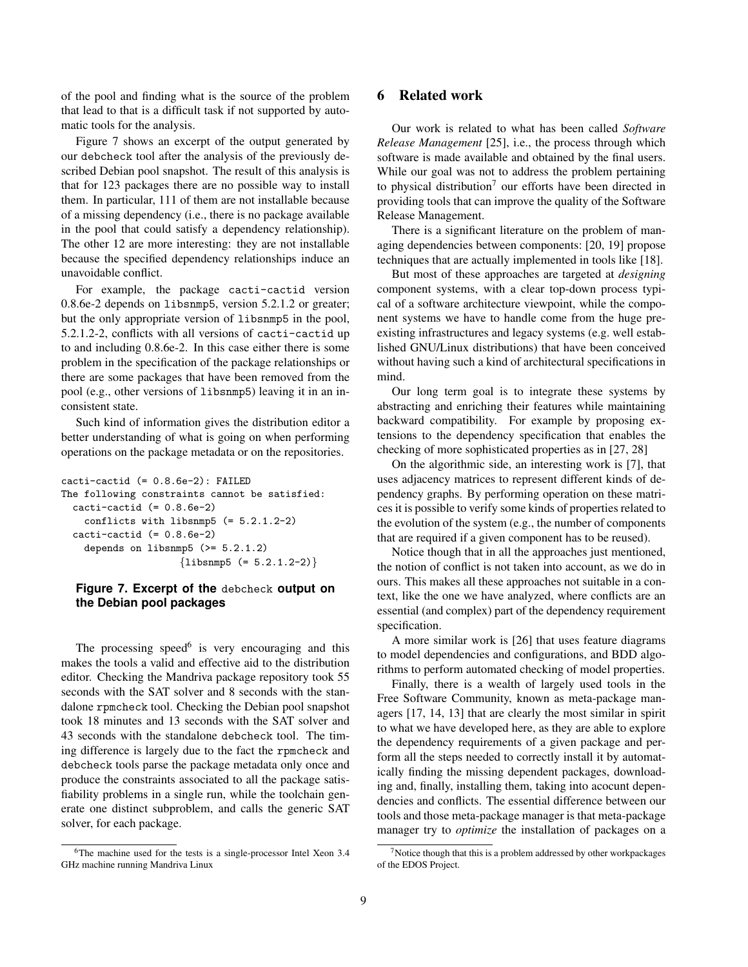of the pool and finding what is the source of the problem that lead to that is a difficult task if not supported by automatic tools for the analysis.

Figure 7 shows an excerpt of the output generated by our debcheck tool after the analysis of the previously described Debian pool snapshot. The result of this analysis is that for 123 packages there are no possible way to install them. In particular, 111 of them are not installable because of a missing dependency (i.e., there is no package available in the pool that could satisfy a dependency relationship). The other 12 are more interesting: they are not installable because the specified dependency relationships induce an unavoidable conflict.

For example, the package cacti-cactid version 0.8.6e-2 depends on libsnmp5, version 5.2.1.2 or greater; but the only appropriate version of libsnmp5 in the pool, 5.2.1.2-2, conflicts with all versions of cacti-cactid up to and including 0.8.6e-2. In this case either there is some problem in the specification of the package relationships or there are some packages that have been removed from the pool (e.g., other versions of libsnmp5) leaving it in an inconsistent state.

Such kind of information gives the distribution editor a better understanding of what is going on when performing operations on the package metadata or on the repositories.

```
cacti-cactid (= 0.8.6e-2): FAILED
The following constraints cannot be satisfied:
  cacti-cactid (= 0.8.6e-2)conflicts with libsnmp5 (= 5.2.1.2-2)
  cacti-cactid (= 0.8.6e-2)depends on libsnmp5 (>= 5.2.1.2)\{libsnmp5 (= 5.2.1.2-2)\}
```
#### **Figure 7. Excerpt of the** debcheck **output on the Debian pool packages**

The processing speed<sup>6</sup> is very encouraging and this makes the tools a valid and effective aid to the distribution editor. Checking the Mandriva package repository took 55 seconds with the SAT solver and 8 seconds with the standalone rpmcheck tool. Checking the Debian pool snapshot took 18 minutes and 13 seconds with the SAT solver and 43 seconds with the standalone debcheck tool. The timing difference is largely due to the fact the rpmcheck and debcheck tools parse the package metadata only once and produce the constraints associated to all the package satisfiability problems in a single run, while the toolchain generate one distinct subproblem, and calls the generic SAT solver, for each package.

## 6 Related work

Our work is related to what has been called *Software Release Management* [25], i.e., the process through which software is made available and obtained by the final users. While our goal was not to address the problem pertaining to physical distribution<sup>7</sup> our efforts have been directed in providing tools that can improve the quality of the Software Release Management.

There is a significant literature on the problem of managing dependencies between components: [20, 19] propose techniques that are actually implemented in tools like [18].

But most of these approaches are targeted at *designing* component systems, with a clear top-down process typical of a software architecture viewpoint, while the component systems we have to handle come from the huge preexisting infrastructures and legacy systems (e.g. well established GNU/Linux distributions) that have been conceived without having such a kind of architectural specifications in mind.

Our long term goal is to integrate these systems by abstracting and enriching their features while maintaining backward compatibility. For example by proposing extensions to the dependency specification that enables the checking of more sophisticated properties as in [27, 28]

On the algorithmic side, an interesting work is [7], that uses adjacency matrices to represent different kinds of dependency graphs. By performing operation on these matrices it is possible to verify some kinds of properties related to the evolution of the system (e.g., the number of components that are required if a given component has to be reused).

Notice though that in all the approaches just mentioned, the notion of conflict is not taken into account, as we do in ours. This makes all these approaches not suitable in a context, like the one we have analyzed, where conflicts are an essential (and complex) part of the dependency requirement specification.

A more similar work is [26] that uses feature diagrams to model dependencies and configurations, and BDD algorithms to perform automated checking of model properties.

Finally, there is a wealth of largely used tools in the Free Software Community, known as meta-package managers [17, 14, 13] that are clearly the most similar in spirit to what we have developed here, as they are able to explore the dependency requirements of a given package and perform all the steps needed to correctly install it by automatically finding the missing dependent packages, downloading and, finally, installing them, taking into acocunt dependencies and conflicts. The essential difference between our tools and those meta-package manager is that meta-package manager try to *optimize* the installation of packages on a

<sup>&</sup>lt;sup>6</sup>The machine used for the tests is a single-processor Intel Xeon 3.4 GHz machine running Mandriva Linux

 $<sup>7</sup>$ Notice though that this is a problem addressed by other workpackages</sup> of the EDOS Project.